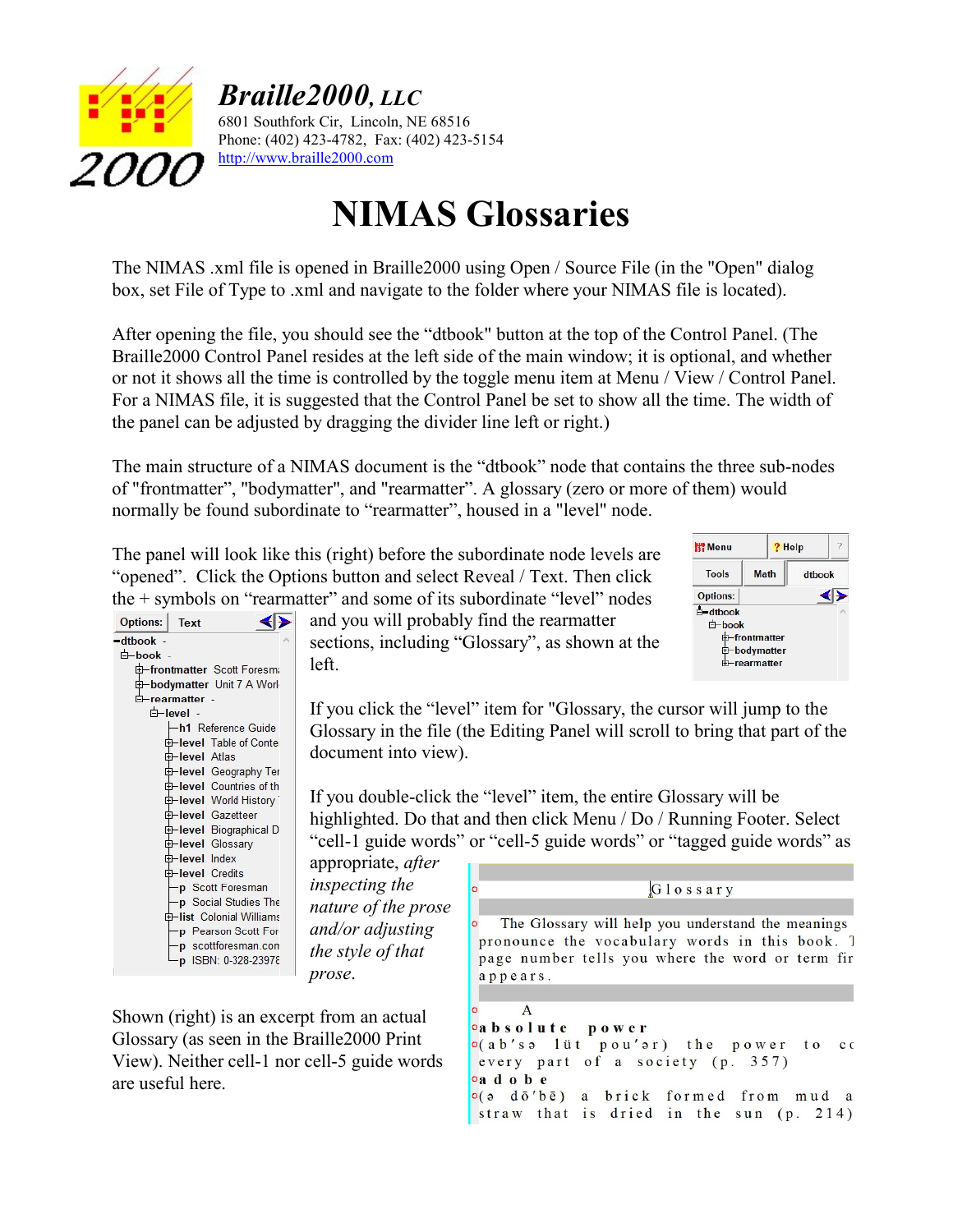

Braille2000, LLC

6801 Southfork Cir, Lincoln, NE 68516 Phone: (402) 423-4782, Fax: (402) 423-5154 http://www.braille2000.com

## NIMAS Glossaries

The NIMAS .xml file is opened in Braille2000 using Open / Source File (in the "Open" dialog box, set File of Type to .xml and navigate to the folder where your NIMAS file is located).

After opening the file, you should see the "dtbook" button at the top of the Control Panel. (The Braille2000 Control Panel resides at the left side of the main window; it is optional, and whether or not it shows all the time is controlled by the toggle menu item at Menu / View / Control Panel. For a NIMAS file, it is suggested that the Control Panel be set to show all the time. The width of the panel can be adjusted by dragging the divider line left or right.)

The main structure of a NIMAS document is the "dtbook" node that contains the three sub-nodes of "frontmatter", "bodymatter", and "rearmatter". A glossary (zero or more of them) would normally be found subordinate to "rearmatter", housed in a "level" node.

The panel will look like this (right) before the subordinate node levels are "opened". Click the Options button and select Reveal / Text. Then click the + symbols on "rearmatter" and some of its subordinate "level" nodes



and you will probably find the rearmatter sections, including "Glossary", as shown at the left.

appears.

If you click the "level" item for "Glossary, the cursor will jump to the Glossary in the file (the Editing Panel will scroll to bring that part of the document into view).

If you double-click the "level" item, the entire Glossary will be highlighted. Do that and then click Menu / Do / Running Footer. Select "cell-1 guide words" or "cell-5 guide words" or "tagged guide words" as

appropriate, after inspecting the nature of the prose and/or adjusting the style of that prose.

Shown (right) is an excerpt from an actual Glossary (as seen in the Braille2000 Print View). Neither cell-1 nor cell-5 guide words are useful here.

The Glossary will help you understand the meanings pronounce the vocabulary words in this book. 7 page number tells you where the word or term fir

Glossary

**W** Menu

**Tools** 

**Options:**  $E$ -dtbook

> d-book th-frontmatter

? Help

dtbook ◀▶

**Math** 

th-bodymatter

**th-rearmatter** 

A oabsolute power o(ab's alüt pou'ar) the power to co every part of a society (p. 357) oad o b e o(a dō'bē) a brick formed from mud a straw that is dried in the sun (p. 214)